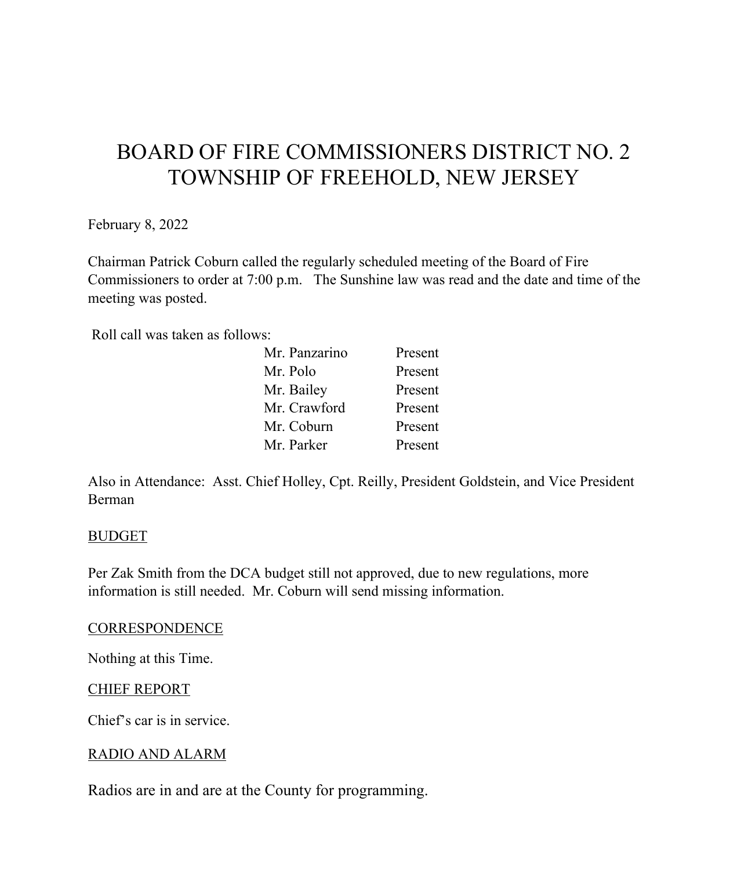# BOARD OF FIRE COMMISSIONERS DISTRICT NO. 2 TOWNSHIP OF FREEHOLD, NEW JERSEY

February 8, 2022

Chairman Patrick Coburn called the regularly scheduled meeting of the Board of Fire Commissioners to order at 7:00 p.m. The Sunshine law was read and the date and time of the meeting was posted.

Roll call was taken as follows:

| Mr. Panzarino | Present |
|---------------|---------|
| Mr. Polo      | Present |
| Mr. Bailey    | Present |
| Mr. Crawford  | Present |
| Mr. Coburn    | Present |
| Mr. Parker    | Present |

Also in Attendance: Asst. Chief Holley, Cpt. Reilly, President Goldstein, and Vice President Berman

## BUDGET

Per Zak Smith from the DCA budget still not approved, due to new regulations, more information is still needed. Mr. Coburn will send missing information.

#### **CORRESPONDENCE**

Nothing at this Time.

## CHIEF REPORT

Chief's car is in service.

## RADIO AND ALARM

Radios are in and are at the County for programming.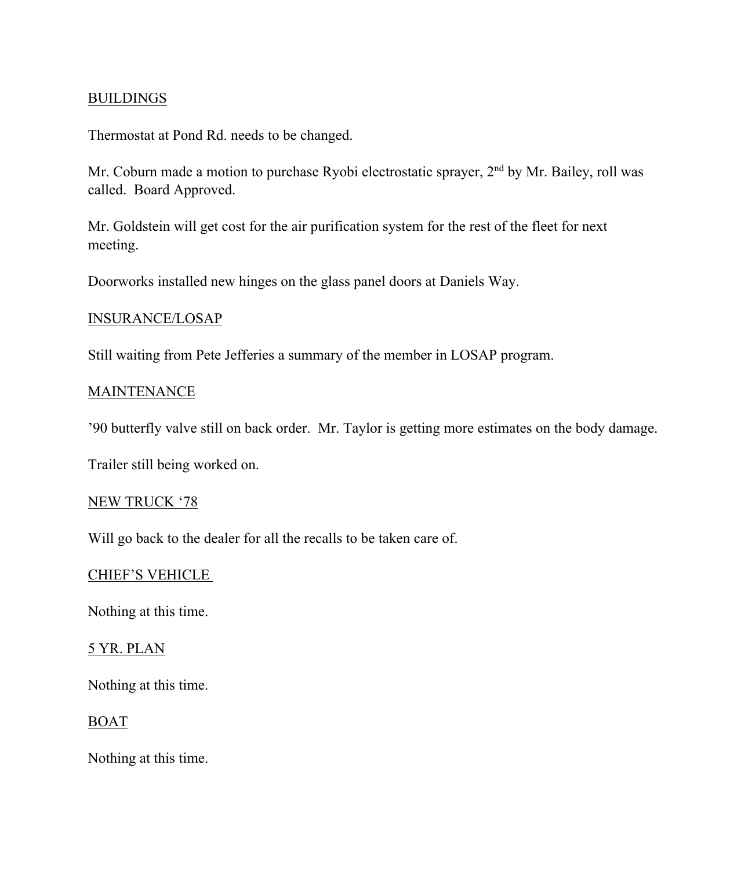## **BUILDINGS**

Thermostat at Pond Rd. needs to be changed.

Mr. Coburn made a motion to purchase Ryobi electrostatic sprayer, 2<sup>nd</sup> by Mr. Bailey, roll was called. Board Approved.

Mr. Goldstein will get cost for the air purification system for the rest of the fleet for next meeting.

Doorworks installed new hinges on the glass panel doors at Daniels Way.

#### INSURANCE/LOSAP

Still waiting from Pete Jefferies a summary of the member in LOSAP program.

#### **MAINTENANCE**

'90 butterfly valve still on back order. Mr. Taylor is getting more estimates on the body damage.

Trailer still being worked on.

#### NEW TRUCK '78

Will go back to the dealer for all the recalls to be taken care of.

#### CHIEF'S VEHICLE

Nothing at this time.

#### 5 YR. PLAN

Nothing at this time.

#### BOAT

Nothing at this time.